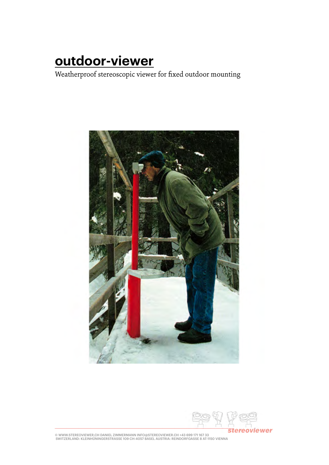# **outdoor-viewer**

Weatherproof stereoscopic viewer for fixed outdoor mounting



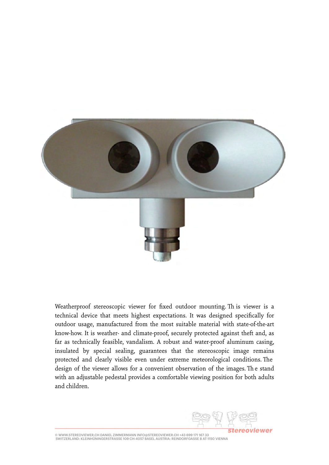

Weatherproof stereoscopic viewer for fixed outdoor mounting. Th is viewer is a technical device that meets highest expectations. It was designed specifically for outdoor usage, manufactured from the most suitable material with state-of-the-art know-how. It is weather- and climate-proof, securely protected against theft and, as far as technically feasible, vandalism. A robust and water-proof aluminum casing, insulated by special sealing, guarantees that the stereoscopic image remains protected and clearly visible even under extreme meteorological conditions. The design of the viewer allows for a convenient observation of the images. The stand with an adjustable pedestal provides a comfortable viewing position for both adults and children.

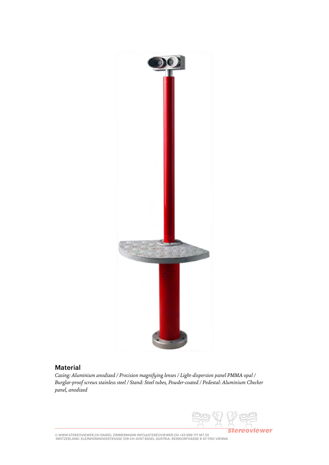

#### Material

*Casing: Aluminium anodized / Precision magnifying lenses / Light-dispersion panel PMMA opal / Burglar-proof screws stainless steel / Stand: Steel tubes, Powder-coated / Pedestal: Aluminium Checker panel, anodized*

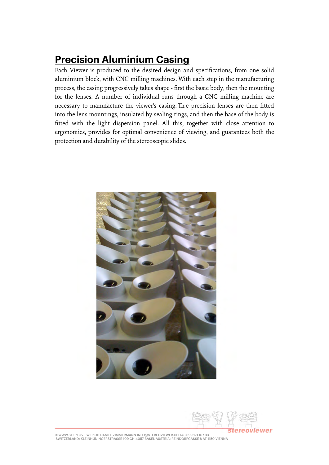## **Precision Aluminium Casing**

Each Viewer is produced to the desired design and specifications, from one solid aluminium block, with CNC milling machines. With each step in the manufacturing process, the casing progressively takes shape - first the basic body, then the mounting for the lenses. A number of individual runs through a CNC milling machine are necessary to manufacture the viewer's casing. The precision lenses are then fitted into the lens mountings, insulated by sealing rings, and then the base of the body is fitted with the light dispersion panel. All this, together with close attention to ergonomics, provides for optimal convenience of viewing, and guarantees both the protection and durability of the stereoscopic slides.



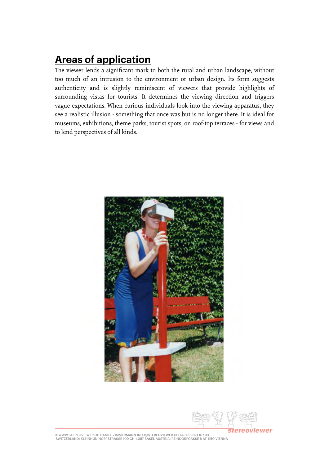### **Areas of application**

The viewer lends a significant mark to both the rural and urban landscape, without too much of an intrusion to the environment or urban design. Its form suggests authenticity and is slightly reminiscent of viewers that provide highlights of surrounding vistas for tourists. It determines the viewing direction and triggers vague expectations. When curious individuals look into the viewing apparatus, they see a realistic illusion - something that once was but is no longer there. It is ideal for museums, exhibitions, theme parks, tourist spots, on roof-top terraces - for views and to lend perspectives of all kinds.



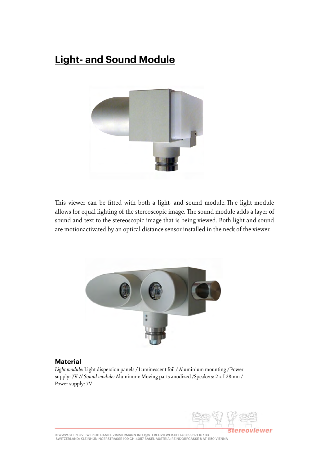### **Light- and Sound Module**



This viewer can be fitted with both a light- and sound module. The light module allows for equal lighting of the stereoscopic image. The sound module adds a layer of sound and text to the stereoscopic image that is being viewed. Both light and sound are motionactivated by an optical distance sensor installed in the neck of the viewer.



#### **Material**

*Light module:* Light dispersion panels */* Luminescent foil */* Aluminium mounting */* Power supply: 7V *// Sound module:* Aluminum: Moving parts anodized */*Speakers: 2 x I 28mm */*  Power supply: 7V

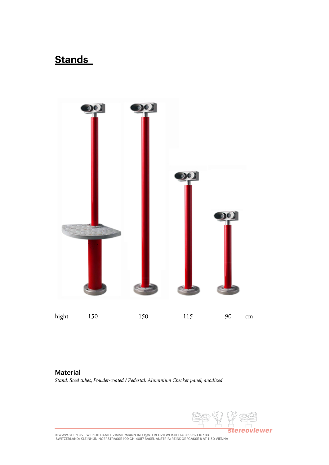### **Stands**



#### **Material** *Stand: Steel tubes, Powder-coated / Pedestal: Aluminium Checker panel, anodized*